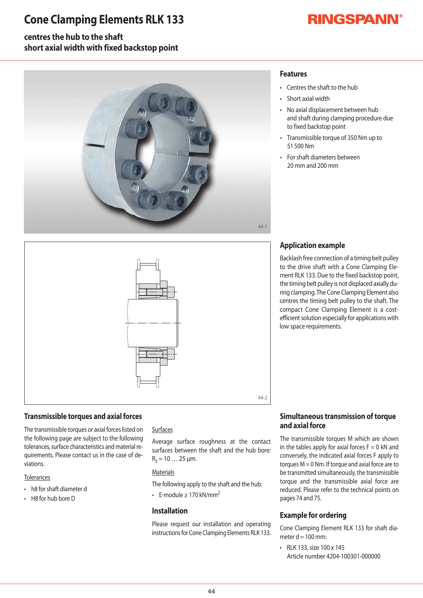## **Cone Clamping Elements RLK 133**

# **RINGSPANN®**

### **centres the hub to the shaft short axial width with fixed backstop point**



### **Features**

- Centres the shaft to the hub
- Short axial width
- No axial displacement between hub and shaft during clamping procedure due to fixed backstop point
- Transmissible torque of 350 Nm up to 51500Nm
- For shaft diameters between 20mmand200mm



#### **Transmissible torques and axial forces**

The transmissible torques or axial forces listed on the following page are subject to the following tolerances, surface characteristics and material requirements. Please contact us in the case of deviations.

#### **Tolerances**

- h8 for shaft diameter d
- $\cdot$  H8 for hub bore D

#### Surfaces

Average surface roughness at the contact surfaces between the shaft and the hub bore:  $R_z = 10...25 \mu m$ .

#### **Materials**

The following apply to the shaft and the hub:

• F-module > 170 kN/mm<sup>2</sup>

#### **Installation**

Please request our installation and operating instructions for Cone Clamping Elements RLK 133.

### **Application example**

Backlash free connection of a timing belt pulley to the drive shaft with a Cone Clamping Element RLK 133. Due to the fixed backstop point, the timing belt pulley is not displaced axially during clamping. The Cone Clamping Element also centres the timing belt pulley to the shaft. The compact Cone Clamping Element is a cost efficient solution especially for applications with low space requirements.

#### **Simultaneous transmission of torque and axial force**

The transmissible torques M which are shownin the tables apply for axial forces  $F=0$  kN and conversely, the indicated axial forces F apply to torques  $M = 0$  Nm. If torque and axial force are to be transmitted simultaneously, the transmissible torque and the transmissible axial force are reduced. Please refer to the technical points on pages 74 and 75.

#### **Example for ordering**

Cone Clamping Element RLK 133 for shaft diameter  $d = 100$  mm:

• RLK 133, size 100 x 145 Article number 4204-100301-000000